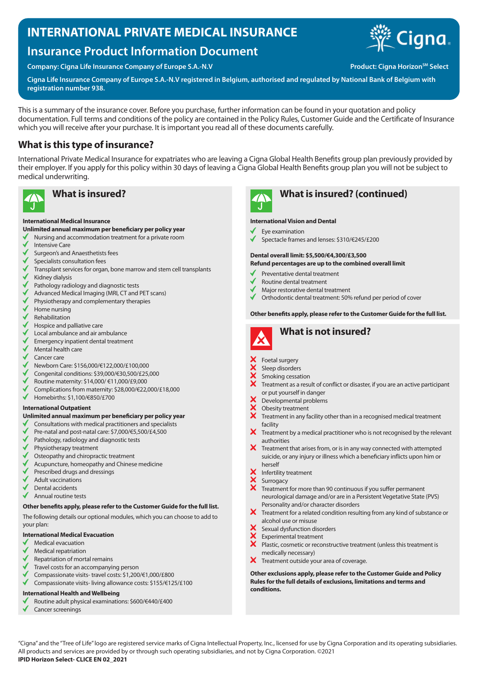# **INTERNATIONAL PRIVATE MEDICAL INSURANCE**

# **Insurance Product Information Document**

**Company: Cigna Life Insurance Company of Europe S.A.-N.V Production Company: Cigna Horizon<sup>sM</sup> Select** 



**Cigna Life Insurance Company of Europe S.A.-N.V registered in Belgium, authorised and regulated by National Bank of Belgium with registration number 938.**

This is a summary of the insurance cover. Before you purchase, further information can be found in your quotation and policy documentation. Full terms and conditions of the policy are contained in the Policy Rules, Customer Guide and the Certificate of Insurance which you will receive after your purchase. It is important you read all of these documents carefully.

## **What is this type of insurance?**

International Private Medical Insurance for expatriates who are leaving a Cigna Global Health Benefits group plan previously provided by their employer. If you apply for this policy within 30 days of leaving a Cigna Global Health Benefits group plan you will not be subject to medical underwriting.



### **International Medical Insurance**

### **Unlimited annual maximum per beneficiary per policy year**

- Nursing and accommodation treatment for a private room
- Intensive Care
- Surgeon's and Anaesthetists fees
- Specialists consultation fees
- Transplant services for organ, bone marrow and stem cell transplants Kidney dialysis
- Pathology radiology and diagnostic tests
- Advanced Medical Imaging (MRI, CT and PET scans)
- Physiotherapy and complementary therapies
- Home nursing
- Rehabilitation
- Hospice and palliative care
- Local ambulance and air ambulance
- Emergency inpatient dental treatment
- Mental health care
- Cancer care
- Newborn Care: \$156,000/€122,000/£100,000
- Congenital conditions: \$39,000/€30,500/£25,000
- Routine maternity: \$14,000/ €11,000/£9,000
- Complications from maternity: \$28,000/€22,000/£18,000
- $\checkmark$ Homebirths: \$1,100/€850/£700

#### **International Outpatient**

#### **Unlimited annual maximum per beneficiary per policy year**

- √ Consultations with medical practitioners and specialists
- Pre-natal and post-natal care: \$7,000/€5,500/£4,500
- Pathology, radiology and diagnostic tests
- Physiotherapy treatment
- Osteopathy and chiropractic treatment
- Acupuncture, homeopathy and Chinese medicine
- Prescribed drugs and dressings
- Adult vaccinations
- Dental accidents
- Annual routine tests

#### **Other benefits apply, please refer to the Customer Guide for the full list.**

The following details our optional modules, which you can choose to add to your plan:

#### **International Medical Evacuation**

- Medical evacuation
- Medical repatriation
- Repatriation of mortal remains
- Travel costs for an accompanying person
- Compassionate visits- travel costs: \$1,200/€1,000/£800
- Compassionate visits- living allowance costs: \$155/€125/£100

#### **International Health and Wellbeing**

- Routine adult physical examinations: \$600/€440/£400
- Cancer screenings

# **What is insured? What is insured? (continued)**

#### **International Vision and Dental**

- Eye examination
- Spectacle frames and lenses: \$310/€245/£200

## **Dental overall limit: \$5,500/€4,300/£3,500**

#### **Refund percentages are up to the combined overall limit**

- Preventative dental treatment
- Routine dental treatment
- Major restorative dental treatment
- Orthodontic dental treatment: 50% refund per period of cover

#### **Other benefits apply, please refer to the Customer Guide for the full list.**



- Foetal surgery
- Sleep disorders
- Smoking cessation
- Treatment as a result of conflict or disaster, if you are an active participant or put yourself in danger
- Developmental problems
- XXX Obesity treatment
- Treatment in any facility other than in a recognised medical treatment facility
- $\bm{X}$  Treatment by a medical practitioner who is not recognised by the relevant authorities
- $\boldsymbol{\times}$  Treatment that arises from, or is in any way connected with attempted suicide, or any injury or illness which a beneficiary inflicts upon him or herself
- Infertility treatment
- Surrogacy
- Treatment for more than 90 continuous if you suffer permanent neurological damage and/or are in a Persistent Vegetative State (PVS) Personality and/or character disorders
- X Treatment for a related condition resulting from any kind of substance or alcohol use or misuse
- Sexual dysfunction disorders
- Experimental treatment
- $\ddot{\mathbf{x}}$ Plastic, cosmetic or reconstructive treatment (unless this treatment is medically necessary)
- X Treatment outside your area of coverage.

**Other exclusions apply, please refer to the Customer Guide and Policy Rules for the full details of exclusions, limitations and terms and conditions.**

"Cigna" and the "Tree of Life" logo are registered service marks of Cigna Intellectual Property, Inc., licensed for use by Cigna Corporation and its operating subsidiaries. All products and services are provided by or through such operating subsidiaries, and not by Cigna Corporation. ©2021 **IPID Horizon Select- CLICE EN 02\_2021**